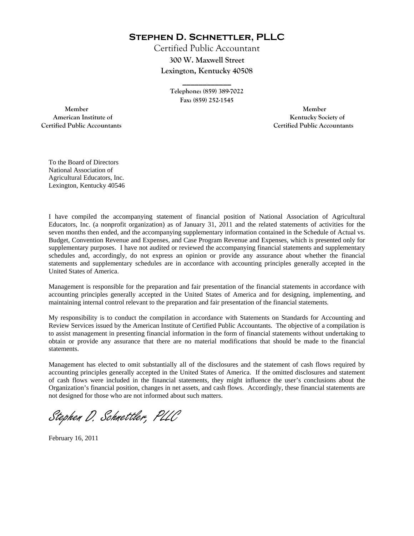**Stephen D. Schnettler, PLLC**

Certified Public Accountant **300 W. Maxwell Street Lexington, Kentucky 40508** 

> **Telephone: (859) 389-7022 Fax: (859) 252-1545**

**\_\_\_\_\_\_\_\_\_\_\_\_** 

 **Member Member Certified Public Accountants Certified Public Accountants** 

American Institute of **Kentucky Society of American Institute of** 

To the Board of Directors National Association of Agricultural Educators, Inc. Lexington, Kentucky 40546

I have compiled the accompanying statement of financial position of National Association of Agricultural Educators, Inc. (a nonprofit organization) as of January 31, 2011 and the related statements of activities for the seven months then ended, and the accompanying supplementary information contained in the Schedule of Actual vs. Budget, Convention Revenue and Expenses, and Case Program Revenue and Expenses, which is presented only for supplementary purposes. I have not audited or reviewed the accompanying financial statements and supplementary schedules and, accordingly, do not express an opinion or provide any assurance about whether the financial statements and supplementary schedules are in accordance with accounting principles generally accepted in the United States of America.

Management is responsible for the preparation and fair presentation of the financial statements in accordance with accounting principles generally accepted in the United States of America and for designing, implementing, and maintaining internal control relevant to the preparation and fair presentation of the financial statements.

My responsibility is to conduct the compilation in accordance with Statements on Standards for Accounting and Review Services issued by the American Institute of Certified Public Accountants. The objective of a compilation is to assist management in presenting financial information in the form of financial statements without undertaking to obtain or provide any assurance that there are no material modifications that should be made to the financial statements.

Management has elected to omit substantially all of the disclosures and the statement of cash flows required by accounting principles generally accepted in the United States of America. If the omitted disclosures and statement of cash flows were included in the financial statements, they might influence the user's conclusions about the Organization's financial position, changes in net assets, and cash flows. Accordingly, these financial statements are not designed for those who are not informed about such matters.

Stephen D. Schnettler, PLLC

February 16, 2011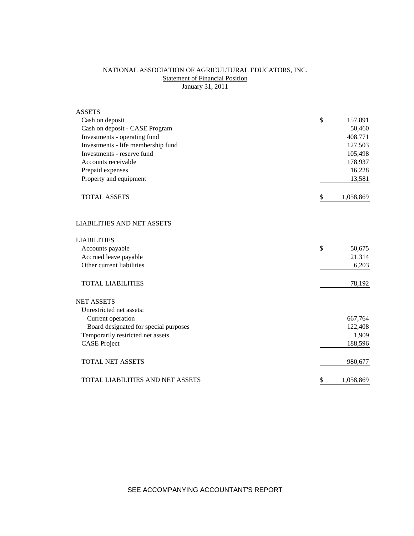## NATIONAL ASSOCIATION OF AGRICULTURAL EDUCATORS, INC. **Statement of Financial Position** January 31, 2011

| <b>ASSETS</b>                         |                 |
|---------------------------------------|-----------------|
| Cash on deposit                       | \$<br>157,891   |
| Cash on deposit - CASE Program        | 50,460          |
| Investments - operating fund          | 408,771         |
| Investments - life membership fund    | 127,503         |
| Investments - reserve fund            | 105,498         |
| Accounts receivable                   | 178,937         |
| Prepaid expenses                      | 16,228          |
| Property and equipment                | 13,581          |
| <b>TOTAL ASSETS</b>                   | \$<br>1,058,869 |
| <b>LIABILITIES AND NET ASSETS</b>     |                 |
| <b>LIABILITIES</b>                    |                 |
| Accounts payable                      | \$<br>50,675    |
| Accrued leave payable                 | 21,314          |
| Other current liabilities             | 6,203           |
| <b>TOTAL LIABILITIES</b>              | 78,192          |
| <b>NET ASSETS</b>                     |                 |
| Unrestricted net assets:              |                 |
| Current operation                     | 667,764         |
| Board designated for special purposes | 122,408         |
| Temporarily restricted net assets     | 1,909           |
| <b>CASE Project</b>                   | 188,596         |
| <b>TOTAL NET ASSETS</b>               | 980,677         |
| TOTAL LIABILITIES AND NET ASSETS      | \$<br>1,058,869 |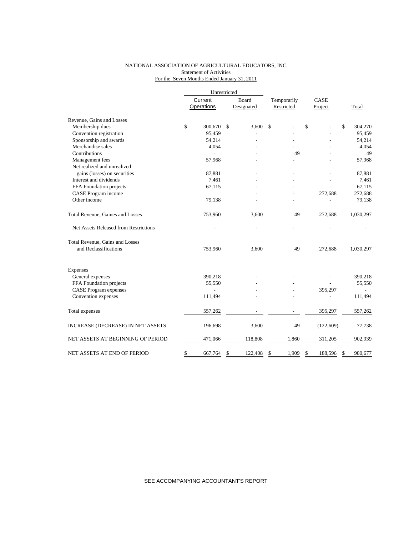## NATIONAL ASSOCIATION OF AGRICULTURAL EDUCATORS, INC. **Statement of Activities** For the Seven Months Ended January 31, 2011

|                                       | Unrestricted |                   |       |            |             |      |            |              |           |  |
|---------------------------------------|--------------|-------------------|-------|------------|-------------|------|------------|--------------|-----------|--|
|                                       | Current      |                   | Board |            | Temporarily | CASE |            |              |           |  |
|                                       |              | <b>Operations</b> |       | Designated | Restricted  |      | Project    |              | Total     |  |
| Revenue, Gains and Losses             |              |                   |       |            |             |      |            |              |           |  |
| Membership dues                       | \$           | 300,670           | \$    | 3.600      | \$          | \$   |            | $\mathbb{S}$ | 304,270   |  |
| Convention registration               |              | 95,459            |       |            |             |      |            |              | 95,459    |  |
| Sponsorship and awards                |              | 54,214            |       |            |             |      |            |              | 54,214    |  |
| Merchandise sales                     |              | 4,054             |       |            |             |      |            |              | 4,054     |  |
| Contributions                         |              |                   |       |            | 49          |      |            |              | 49        |  |
| Management fees                       |              | 57,968            |       |            |             |      |            |              | 57,968    |  |
| Net realized and unrealized           |              |                   |       |            |             |      |            |              |           |  |
| gains (losses) on securities          |              | 87,881            |       |            |             |      |            |              | 87,881    |  |
| Interest and dividends                |              | 7,461             |       |            |             |      |            |              | 7,461     |  |
| FFA Foundation projects               |              | 67,115            |       |            |             |      |            |              | 67,115    |  |
| CASE Program income                   |              |                   |       |            |             |      | 272,688    |              | 272,688   |  |
| Other income                          |              | 79,138            |       |            |             |      |            |              | 79,138    |  |
| Total Revenue, Gaines and Losses      |              | 753,960           |       | 3,600      | 49          |      | 272,688    |              | 1,030,297 |  |
| Net Assets Released from Restrictions |              |                   |       |            |             |      |            |              |           |  |
| Total Revenue, Gains and Losses       |              |                   |       |            |             |      |            |              |           |  |
| and Reclassifications                 |              | 753,960           |       | 3,600      | 49          |      | 272,688    |              | 1,030,297 |  |
| Expenses                              |              |                   |       |            |             |      |            |              |           |  |
| General expenses                      |              | 390,218           |       |            |             |      |            |              | 390,218   |  |
| FFA Foundation projects               |              | 55,550            |       |            |             |      |            |              | 55,550    |  |
| <b>CASE Program expenses</b>          |              |                   |       |            |             |      | 395,297    |              |           |  |
| Convention expenses                   |              | 111,494           |       |            |             |      |            |              | 111,494   |  |
| Total expenses                        |              | 557,262           |       |            |             |      | 395,297    |              | 557,262   |  |
|                                       |              |                   |       |            |             |      |            |              |           |  |
| INCREASE (DECREASE) IN NET ASSETS     |              | 196,698           |       | 3,600      | 49          |      | (122, 609) |              | 77,738    |  |
| NET ASSETS AT BEGINNING OF PERIOD     |              | 471,066           |       | 118,808    | 1,860       |      | 311,205    |              | 902,939   |  |
| NET ASSETS AT END OF PERIOD           | \$           | 667,764           | \$    | 122,408    | \$<br>1,909 | \$   | 188,596    | \$           | 980,677   |  |

SEE ACCOMPANYING ACCOUNTANT'S REPORT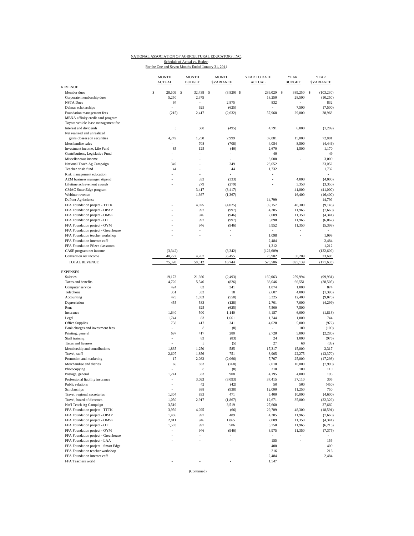## NATIONAL ASSOCIATION OF AGRICULTURAL EDUCATORS, INC. Schedule of Actual vs. Budget<br>For the One and Seven Months Ended January 31, 2011

|                                                                |   | <b>MONTH</b><br><b>ACTUAL</b> | <b>MONTH</b><br><b>BUDGET</b> | <b>MONTH</b><br><b>SVARIANCE</b> | YEAR TO DATE<br><b>ACTUAL</b> | <b>YEAR</b><br><b>BUDGET</b> | <b>YEAR</b><br><b><i>SVARIANCE</i></b> |
|----------------------------------------------------------------|---|-------------------------------|-------------------------------|----------------------------------|-------------------------------|------------------------------|----------------------------------------|
| <b>REVENUE</b>                                                 | S |                               |                               |                                  |                               |                              |                                        |
| Member dues<br>Corporate membership dues                       |   | 28,609<br>S<br>5,250          | 32,438<br>2,375               | - \$<br>$(3,829)$ \$             | 286,020 \$<br>18,250          | 389,250<br>28,500            | s<br>(103, 230)<br>(10, 250)           |
| <b>NSTA Dues</b>                                               |   | 64                            |                               | 2,875                            | 832                           |                              | 832                                    |
| Delmar scholarships                                            |   |                               | 625                           | (625)                            |                               | 7,500                        | (7,500)                                |
| Foundation management fees                                     |   | (215)                         | 2,417                         | (2, 632)                         | 57,968                        | 29,000                       | 28,968                                 |
| MBNA affinity credit card program                              |   |                               | $\overline{\phantom{a}}$      | $\bar{a}$                        |                               |                              | $\sim$                                 |
| Toyota vehicle lease management fee                            |   |                               |                               |                                  |                               |                              |                                        |
| Interest and dividends                                         |   | 5                             | 500                           | (495)                            | 4,791                         | 6,000                        | (1,209)                                |
| Net realized and unrealized                                    |   |                               |                               |                                  |                               |                              |                                        |
| gains (losses) on securities                                   |   | 4,249                         | 1,250                         | 2,999                            | 87,881                        | 15,000                       | 72,881                                 |
| Merchandise sales                                              |   |                               | 708                           | (708)                            | 4,054                         | 8,500                        | (4, 446)                               |
| Investment income, Life Fund                                   |   | 85                            | 125                           | (40)                             | 2,670                         | 1,500                        | 1,170                                  |
| Contributions, Legislative Fund                                |   |                               |                               |                                  | 49                            |                              | 49                                     |
| Miscellaneous income                                           |   |                               |                               | ٠                                | 3,000                         |                              | 3,000                                  |
| National Teach Ag Campaign                                     |   | 349                           |                               | 349                              | 23,052                        |                              | 23,052                                 |
| Teacher crisis fund                                            |   | 44                            |                               | 44                               | 1,732                         |                              | 1,732                                  |
| Risk management education                                      |   |                               |                               | ÷,                               |                               |                              | ÷,                                     |
| AEM business manager stipend                                   |   |                               | 333                           | (333)                            | ä,                            | 4,000                        | (4,000)                                |
| Lifetime achievement awards                                    |   |                               | 279                           | (279)                            |                               | 3,350                        | (3,350)                                |
| GMAC SmartEdge program                                         |   |                               | 3,417                         | (3, 417)                         | $\sim$                        | 41,000                       | (41,000)                               |
| Webinar revenue                                                |   |                               | 1,367                         | (1, 367)                         |                               | 16,400<br>٠                  | (16, 400)                              |
| DuPont Agrisciense                                             |   |                               | 4,025                         | (4,025)                          | 14,799                        |                              | 14,799                                 |
| FFA Foundation project - TTTK<br>FFA Foundation project - OPAP |   |                               | 997                           | (997)                            | 39,157<br>4,305               | 48,300<br>11,965             | (9, 143)<br>(7,660)                    |
|                                                                |   |                               |                               |                                  |                               |                              |                                        |
| FFA Foundation project - OMSP<br>FFA Foundation project - OT   |   |                               | 946<br>997                    | (946)<br>(997)                   | 7,009<br>5,898                | 11,350<br>11,965             | (4, 341)<br>(6,067)                    |
| FFA Foundation project - OYM                                   |   |                               | 946                           | (946)                            | 5,952                         | 11,350                       | (5, 398)                               |
| FFA Foundation project - Greenhouse                            |   |                               |                               |                                  | $\mathcal{L}_{\mathcal{A}}$   |                              |                                        |
| FFA Foundation teacher workshop                                |   |                               |                               |                                  | 1,098                         |                              | 1,098                                  |
| FFA Foundation internet café                                   |   |                               |                               |                                  | 2,484                         |                              | 2,484                                  |
| FFA Foundation Pfizer classroom                                |   |                               |                               |                                  | 1,212                         |                              | 1,212                                  |
| CASE program net income                                        |   | (3, 342)                      |                               | (3, 342)                         | (122, 609)                    |                              | (122, 609)                             |
| Convention net income                                          |   | 40,222                        | 4,767                         | 35,455                           | 73,902                        | 50,209                       | 23,693                                 |
| <b>TOTAL REVENUE</b>                                           |   | 75,320                        | 58,512                        | 16,744                           | 523,506                       | 695,139                      | (171, 633)                             |
|                                                                |   |                               |                               |                                  |                               |                              |                                        |
| <b>EXPENSES</b><br>Salaries                                    |   |                               |                               |                                  |                               |                              |                                        |
|                                                                |   | 19,173<br>4,720               | 21,666<br>5,546               | (2, 493)<br>(826)                | 160,063<br>38,046             | 259,994<br>66,551            | (99, 931)<br>(28, 505)                 |
| Taxes and benefits<br>Computer service                         |   | 424                           | 83                            | 341                              | 1,874                         | 1,000                        | 874                                    |
| Telephone                                                      |   | 351                           | 333                           | 18                               | 2,607                         | 4,000                        | (1, 393)                               |
| Accounting                                                     |   | 475                           | 1,033                         | (558)                            | 3,325                         | 12,400                       | (9,075)                                |
| Depreciation                                                   |   | 455                           | 583                           | (128)                            | 2,701                         | 7,000                        | (4,299)                                |
| Rent                                                           |   |                               | 625                           | (625)                            | 7,500                         | 7,500                        |                                        |
| Insurance                                                      |   | 1,640                         | 500                           | 1,140                            | 4,187                         | 6,000                        | (1, 813)                               |
| Legal                                                          |   | 1,744                         | 83                            | 1,661                            | 1,744                         | 1,000                        | 744                                    |
| Office Supplies                                                |   | 758                           | 417                           | 341                              | 4,028                         | 5,000                        | (972)                                  |
| Bank charges and investment fees                               |   |                               | 8                             | (8)                              | $\overline{\phantom{a}}$      | 100                          | (100)                                  |
| Printing, general                                              |   | 697                           | 417                           | 280                              | 2,720                         | 5,000                        | (2, 280)                               |
| Staff training                                                 |   |                               | 83                            | (83)                             | 24                            | 1,000                        | (976)                                  |
| Taxes and licenses                                             |   |                               | 5                             | (5)                              | 27                            | 60                           | (33)                                   |
| Membership and contributions                                   |   | 1,835                         | 1,250                         | 585                              | 17,317                        | 15,000                       | 2,317                                  |
| Travel, staff                                                  |   | 2,607                         | 1,856                         | 751                              | 8,905                         | 22,275                       | (13, 370)                              |
| Promotion and marketing                                        |   | 17                            | 2,083                         | (2,066)                          | 7,707                         | 25,000                       | (17, 293)                              |
| Merchandise and diaries                                        |   | 65                            | 833                           | (768)                            | 2,010                         | 10,000                       | (7,990)                                |
| Photocopying                                                   |   |                               | 8                             | (8)                              | 210                           | 100                          | 110                                    |
| Postage, general                                               |   | 1,241                         | 333                           | 908                              | 4,195                         | 4,000                        | 195                                    |
| Professional liability insurance                               |   |                               | 3,093                         | (3,093)                          | 37,415                        | 37,110                       | 305                                    |
| Public relations                                               |   |                               | 42                            | (42)                             | 50                            | 500                          | (450)                                  |
| Scholarships                                                   |   |                               | 938                           | (938)                            | 12,000                        | 11,250                       | 750                                    |
| Travel, regional secretaries                                   |   | 1,304                         | 833                           | 471                              | 5,400                         | 10,000                       | (4,600)                                |
| Travel, board of directors                                     |   | 1,050                         | 2,917                         | (1, 867)                         | 12,671                        | 35,000                       | (22, 329)                              |
| Nat'l Teach Ag Campaign                                        |   | 3,519                         | $\overline{\phantom{a}}$      | 3,519                            | 27,660                        | $\sim$                       | 27,660                                 |
| FFA Foundation project - TTTK                                  |   | 3,959                         | 4,025                         | (66)                             | 29,709                        | 48,300                       | (18, 591)                              |
| FFA Foundation project - OPAP                                  |   | 1,486                         | 997                           | 489                              | 4,305                         | 11,965                       | (7,660)                                |
| FFA Foundation project - OMSP                                  |   | 2,811                         | 946                           | 1,865                            | 7,009                         | 11,350                       | (4, 341)                               |
| FFA Foundation project - OT                                    |   | 1,503                         | 997                           | 506                              | 5,750                         | 11,965                       | (6,215)                                |
| FFA Foundation project - OYM                                   |   | ÷,                            | 946                           | (946)                            | 3,975                         | 11,350                       | (7, 375)                               |
| FFA Foundation project - Greenhouse                            |   |                               |                               |                                  | $\sim$                        |                              |                                        |
| FFA Foundation project - LAA                                   |   |                               |                               |                                  | 155                           |                              | 155                                    |
| FFA Foundation project - Smart Edge                            |   |                               |                               |                                  | 400                           | ÷                            | 400                                    |
| FFA Foundation teacher workshop                                |   |                               |                               |                                  | 216                           | $\overline{\phantom{a}}$     | 216                                    |
| FFA Foundation internet café                                   |   |                               |                               |                                  | 2,484                         |                              | 2,484                                  |
| FFA Teachers world                                             |   |                               |                               | ٠                                | 1,547                         |                              |                                        |
|                                                                |   |                               |                               |                                  |                               |                              |                                        |

(Continued)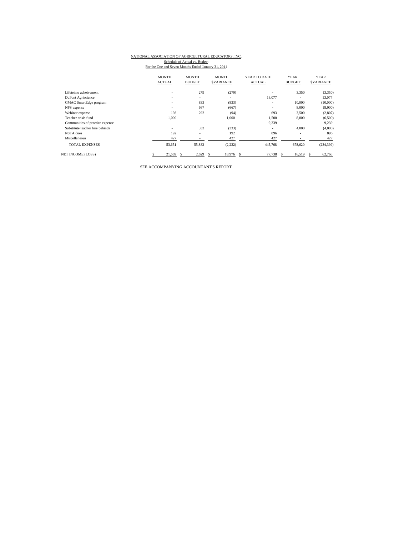# NATIONAL ASSOCIATION OF AGRICULTURAL EDUCATORS, INC.

Schedule of Actual vs. Budget<br>For the One and Seven Months Ended January 31, 2011

|                                 | <b>MONTH</b>             | <b>MONTH</b><br><b>MONTH</b><br>YEAR TO DATE<br><b>YEAR</b> |                  |               | <b>YEAR</b>              |                   |
|---------------------------------|--------------------------|-------------------------------------------------------------|------------------|---------------|--------------------------|-------------------|
|                                 | <b>ACTUAL</b>            | <b>BUDGET</b>                                               | <b>SVARIANCE</b> | <b>ACTUAL</b> | <b>BUDGET</b>            | <b>\$VARIANCE</b> |
| Lifeteime acheivement           | $\overline{\phantom{a}}$ | 279                                                         | (279)            | ٠             | 3,350                    | (3,350)           |
| DuPont Agriscience              | $\sim$                   | $\overline{\phantom{a}}$                                    | ٠                | 13,077        |                          | 13,077            |
| GMAC SmartEdge program          | $\overline{\phantom{a}}$ | 833                                                         | (833)            | ٠             | 10,000                   | (10,000)          |
| NPS expense                     | $\overline{\phantom{a}}$ | 667                                                         | (667)            | ٠             | 8,000                    | (8,000)           |
| Webinar expense                 | 198                      | 292                                                         | (94)             | 693           | 3,500                    | (2,807)           |
| Teacher crisis fund             | 1.000                    | $\overline{\phantom{a}}$                                    | 1.000            | 1.500         | 8,000                    | (6,500)           |
| Communities of practice expense | ۰                        | $\overline{\phantom{a}}$                                    | ٠                | 9,239         |                          | 9,239             |
| Substitute teacher hire behinds | ۰                        | 333                                                         | (333)            | ٠             | 4,000                    | (4,000)           |
| NSTA dues                       | 192                      | $\qquad \qquad \blacksquare$                                | 192              | 896           | $\overline{\phantom{a}}$ | 896               |
| Miscellaneous                   | 427                      |                                                             | 427              | 427           |                          | 427               |
| <b>TOTAL EXPENSES</b>           | 53,651                   | 55,883                                                      | (2, 232)         | 445,768       | 678,620                  | (234, 399)        |
| <b>NET INCOME (LOSS)</b>        | 21,669                   | 2,629                                                       | 18,976<br>S      | 77,738<br>s   | 16,519<br>S              | 62,766            |

SEE ACCOMPANYING ACCOUNTANT'S REPORT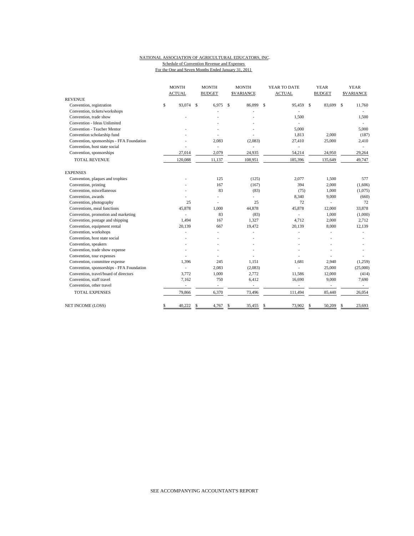#### NATIONAL ASSOCIATION OF AGRICULTURAL EDUCATORS, INC. Schedule of Convention Revenue and Expenses

For the One and Seven Months Ended January 31, 2011

|                                           | <b>MONTH</b> |                          | <b>MONTH</b>  |                          |             | <b>MONTH</b>             |    | YEAR TO DATE             |    | <b>YEAR</b>              |    | <b>YEAR</b>       |  |
|-------------------------------------------|--------------|--------------------------|---------------|--------------------------|-------------|--------------------------|----|--------------------------|----|--------------------------|----|-------------------|--|
|                                           |              | <b>ACTUAL</b>            |               | <b>BUDGET</b>            |             | <b>SVARIANCE</b>         |    | <b>ACTUAL</b>            |    | <b>BUDGET</b>            |    | <b>\$VARIANCE</b> |  |
| <b>REVENUE</b>                            |              |                          |               |                          |             |                          |    |                          |    |                          |    |                   |  |
| Convention, registration                  | \$           | 93,074                   | <sup>\$</sup> | 6,975                    | $\mathbf S$ | 86,099                   | \$ | 95,459                   | \$ | 83,699                   | \$ | 11,760            |  |
| Convention, tickets/workshops             |              |                          |               |                          |             |                          |    |                          |    |                          |    |                   |  |
| Convention, trade show                    |              |                          |               |                          |             |                          |    | 1,500                    |    |                          |    | 1,500             |  |
| Convention - Ideas Unlimited              |              |                          |               |                          |             |                          |    | ÷.                       |    |                          |    |                   |  |
| Convention - Teacher Mentor               |              |                          |               |                          |             |                          |    | 5,000                    |    |                          |    | 5,000             |  |
| Convention scholarship fund               |              |                          |               |                          |             |                          |    | 1,813                    |    | 2,000                    |    | (187)             |  |
| Convention, sponsorships - FFA Foundation |              |                          |               | 2,083                    |             | (2,083)                  |    | 27,410                   |    | 25,000                   |    | 2,410             |  |
| Convention, host state social             |              |                          |               | ä,                       |             |                          |    | ä,                       |    |                          |    |                   |  |
| Convention, sponsorships                  |              | 27,014                   |               | 2,079                    |             | 24,935                   |    | 54,214                   |    | 24,950                   |    | 29,264            |  |
| <b>TOTAL REVENUE</b>                      |              | 120,088                  |               | 11,137                   |             | 108,951                  |    | 185,396                  |    | 135,649                  |    | 49,747            |  |
| <b>EXPENSES</b>                           |              |                          |               |                          |             |                          |    |                          |    |                          |    |                   |  |
| Convention, plaques and trophies          |              |                          |               | 125                      |             | (125)                    |    | 2,077                    |    | 1,500                    |    | 577               |  |
| Convention, printing                      |              |                          |               | 167                      |             | (167)                    |    | 394                      |    | 2,000                    |    | (1,606)           |  |
| Convention, miscellaneous                 |              |                          |               | 83                       |             | (83)                     |    | (75)                     |    | 1,000                    |    | (1,075)           |  |
| Convention, awards                        |              |                          |               | L,                       |             | L.                       |    | 8,340                    |    | 9,000                    |    | (660)             |  |
| Convention, photography                   |              | 25                       |               | L.                       |             | 25                       |    | 72                       |    |                          |    | 72                |  |
| Conventions, meal functions               |              | 45,878                   |               | 1,000                    |             | 44.878                   |    | 45,878                   |    | 12,000                   |    | 33,878            |  |
| Convention, promotion and marketing       |              |                          |               | 83                       |             | (83)                     |    | ä,                       |    | 1,000                    |    | (1,000)           |  |
| Convention, postage and shipping          |              | 1,494                    |               | 167                      |             | 1,327                    |    | 4,712                    |    | 2,000                    |    | 2,712             |  |
| Convention, equipment rental              |              | 20,139                   |               | 667                      |             | 19,472                   |    | 20,139                   |    | 8,000                    |    | 12,139            |  |
| Convention, workshops                     |              |                          |               |                          |             |                          |    |                          |    |                          |    |                   |  |
| Convention, host state social             |              |                          |               |                          |             |                          |    |                          |    |                          |    |                   |  |
| Convention, speakers                      |              |                          |               |                          |             |                          |    |                          |    |                          |    |                   |  |
| Convention, trade show expense            |              |                          |               |                          |             |                          |    |                          |    |                          |    |                   |  |
| Convention, tour expenses                 |              |                          |               |                          |             |                          |    |                          |    |                          |    |                   |  |
| Convention, committee expense             |              | 1,396                    |               | 245                      |             | 1,151                    |    | 1,681                    |    | 2,940                    |    | (1,259)           |  |
| Convention, sponsorships - FFA Foundation |              |                          |               | 2,083                    |             | (2,083)                  |    |                          |    | 25,000                   |    | (25,000)          |  |
| Convention, travel/board of directors     |              | 3,772                    |               | 1,000                    |             | 2,772                    |    | 11,586                   |    | 12,000                   |    | (414)             |  |
| Convention, staff travel                  |              | 7,162                    |               | 750                      |             | 6,412                    |    | 16,690                   |    | 9,000                    |    | 7,690             |  |
| Convention, other travel                  |              | $\overline{\phantom{a}}$ |               | $\overline{\phantom{a}}$ |             | $\overline{\phantom{a}}$ |    | $\overline{\phantom{a}}$ |    | $\overline{\phantom{a}}$ |    | $\sim$            |  |
| <b>TOTAL EXPENSES</b>                     |              | 79,866                   |               | 6,370                    |             | 73,496                   |    | 111,494                  |    | 85,440                   |    | 26,054            |  |
| <b>NET INCOME (LOSS)</b>                  | \$           | 40,222                   | \$            | 4,767                    | \$          | 35,455                   | \$ | 73,902                   | \$ | 50,209                   | \$ | 23,693            |  |